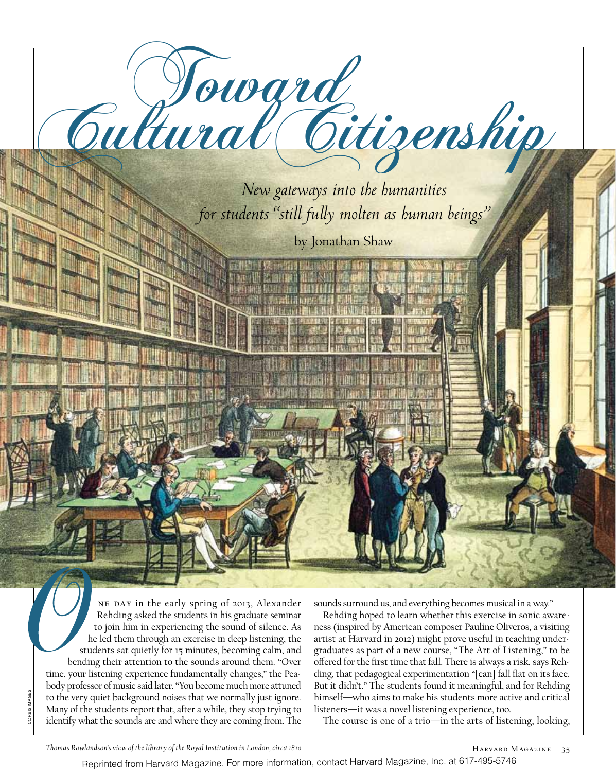

NE DAY in the early spring of 2013, Alexander Rehding asked the students in his graduate seminar to join him in experiencing the sound of silence. As he led them through an exercise in deep listening, the students sat quietly for 15 minutes, becoming calm, and bending their attention to the sounds around them. "Over time, your listening experience fundamentally changes," the Peabody professor of music said later. "You become much more attuned to the very quiet background noises that we normally just ignore. Many of the students report that, after a while, they stop trying to identify what the sounds are and where they are coming from. The

sounds surround us, and everything becomes musical in a way."

Rehding hoped to learn whether this exercise in sonic awareness (inspired by American composer Pauline Oliveros, a visiting artist at Harvard in 2012) might prove useful in teaching undergraduates as part of a new course, "The Art of Listening," to be offered for the first time that fall. There is always a risk, says Rehding, that pedagogical experimentation "[can] fall flat on its face. But it didn't." The students found it meaningful, and for Rehding himself—who aims to make his students more active and critical listeners—it was a novel listening experience, too.

The course is one of a trio—in the arts of listening, looking,

*Thomas Rowlandson's view of the library of the Royal Institution in London, circa 1810*

Reprinted from Harvard Magazine. For more information, contact Harvard Magazine, Inc. at 617-495-5746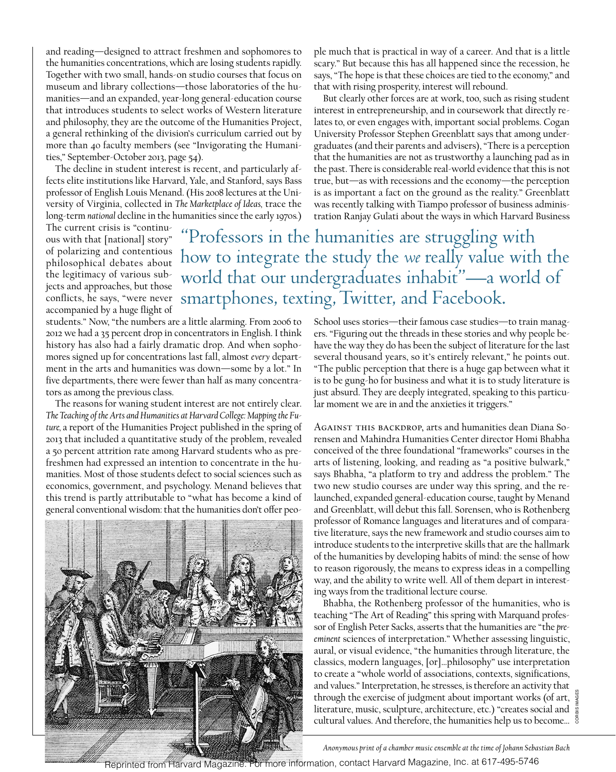and reading—designed to attract freshmen and sophomores to the humanities concentrations, which are losing students rapidly. Together with two small, hands-on studio courses that focus on museum and library collections—those laboratories of the humanities—and an expanded, year-long general-education course that introduces students to select works of Western literature and philosophy, they are the outcome of the Humanities Project, a general rethinking of the division's curriculum carried out by more than 40 faculty members (see "Invigorating the Humanities," September-October 2013, page 54).

The decline in student interest is recent, and particularly affects elite institutions like Harvard, Yale, and Stanford, says Bass professor of English Louis Menand. (His 2008 lectures at the University of Virginia, collected in *The Marketplace of Ideas,* trace the long-term *national* decline in the humanities since the early 1970s*.*)

The current crisis is "continuous with that [national] story" of polarizing and contentious philosophical debates about the legitimacy of various subjects and approaches, but those conflicts, he says, "were never accompanied by a huge flight of

students." Now, "the numbers are a little alarming. From 2006 to 2012 we had a 35 percent drop in concentrators in English. I think history has also had a fairly dramatic drop. And when sophomores signed up for concentrations last fall, almost *every* department in the arts and humanities was down—some by a lot." In five departments, there were fewer than half as many concentrators as among the previous class.

The reasons for waning student interest are not entirely clear. *The Teaching of the Arts and Humanities at Harvard College: Mapping the Future,* a report of the Humanities Project published in the spring of 2013 that included a quantitative study of the problem, revealed a 50 percent attrition rate among Harvard students who as prefreshmen had expressed an intention to concentrate in the humanities. Most of those students defect to social sciences such as economics, government, and psychology. Menand believes that this trend is partly attributable to "what has become a kind of general conventional wisdom: that the humanities don't offer peo-



ple much that is practical in way of a career. And that is a little scary." But because this has all happened since the recession, he says, "The hope is that these choices are tied to the economy," and that with rising prosperity, interest will rebound.

But clearly other forces are at work, too, such as rising student interest in entrepreneurship, and in coursework that directly relates to, or even engages with, important social problems. Cogan University Professor Stephen Greenblatt says that among undergraduates (and their parents and advisers), "There is a perception that the humanities are not as trustworthy a launching pad as in the past. There is considerable real-world evidence that this is not true, but—as with recessions and the economy—the perception is as important a fact on the ground as the reality." Greenblatt was recently talking with Tiampo professor of business administration Ranjay Gulati about the ways in which Harvard Business

Professors in the humanities are struggling with how to integrate the study the *we* really value with the world that our undergraduates inhabit"—a world of smartphones, texting, Twitter, and Facebook.

> School uses stories—their famous case studies—to train managers. "Figuring out the threads in these stories and why people behave the way they do has been the subject of literature for the last several thousand years, so it's entirely relevant," he points out. "The public perception that there is a huge gap between what it is to be gung-ho for business and what it is to study literature is just absurd. They are deeply integrated, speaking to this particular moment we are in and the anxieties it triggers."

> Against this backdrop, arts and humanities dean Diana Sorensen and Mahindra Humanities Center director Homi Bhabha conceived of the three foundational "frameworks" courses in the arts of listening, looking, and reading as "a positive bulwark," says Bhabha, "a platform to try and address the problem." The two new studio courses are under way this spring, and the relaunched, expanded general-education course, taught by Menand and Greenblatt, will debut this fall. Sorensen, who is Rothenberg professor of Romance languages and literatures and of comparative literature, says the new framework and studio courses aim to introduce students to the interpretive skills that are the hallmark of the humanities by developing habits of mind: the sense of how to reason rigorously, the means to express ideas in a compelling way, and the ability to write well. All of them depart in interesting ways from the traditional lecture course.

Bhabha, the Rothenberg professor of the humanities, who is teaching "The Art of Reading" this spring with Marquand professor of English Peter Sacks, asserts that the humanities are "the *preeminent* sciences of interpretation." Whether assessing linguistic, aural, or visual evidence, "the humanities through literature, the classics, modern languages, [or]…philosophy" use interpretation to create a "whole world of associations, contexts, significations, and values." Interpretation, he stresses, is therefore an activity that through the exercise of judgment about important works (of art, literature, music, sculpture, architecture, etc.) "creates social and cultural values. And therefore, the humanities help us to become…

corbis images

*Anonymous print of a chamber music ensemble at the time of Johann Sebastian Bach*

Reprinted from Harvard Magazine. For more information, contact Harvard Magazine, Inc. at 617-495-5746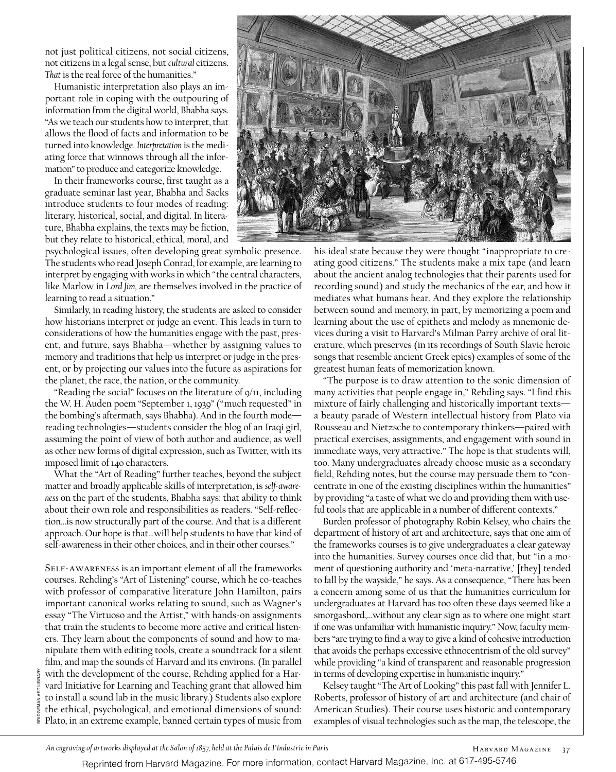not just political citizens, not social citizens, not citizens in a legal sense, but *cultural* citizens. *That* is the real force of the humanities."

Humanistic interpretation also plays an important role in coping with the outpouring of information from the digital world, Bhabha says. "As we teach our students how to interpret, that allows the flood of facts and information to be turned into knowledge. *Interpretation* is the mediating force that winnows through all the information" to produce and categorize knowledge.

In their frameworks course, first taught as a graduate seminar last year, Bhabha and Sacks introduce students to four modes of reading: literary, historical, social, and digital. In literature, Bhabha explains, the texts may be fiction, but they relate to historical, ethical, moral, and

psychological issues, often developing great symbolic presence. The students who read Joseph Conrad, for example, are learning to interpret by engaging with works in which "the central characters, like Marlow in *Lord Jim,* are themselves involved in the practice of learning to read a situation."

Similarly, in reading history, the students are asked to consider how historians interpret or judge an event. This leads in turn to considerations of how the humanities engage with the past, present, and future, says Bhabha—whether by assigning values to memory and traditions that help us interpret or judge in the present, or by projecting our values into the future as aspirations for the planet, the race, the nation, or the community.

"Reading the social" focuses on the literature of 9/11, including the W. H. Auden poem "September 1, 1939"("much requested" in the bombing's aftermath, says Bhabha). And in the fourth mode reading technologies—students consider the blog of an Iraqi girl, assuming the point of view of both author and audience, as well as other new forms of digital expression, such as Twitter, with its imposed limit of 140 characters.

What the "Art of Reading" further teaches, beyond the subject matter and broadly applicable skills of interpretation, is *self-awareness* on the part of the students, Bhabha says: that ability to think about their own role and responsibilities as readers. "Self-reflection…is now structurally part of the course. And that is a different approach. Our hope is that…will help students to have that kind of self-awareness in their other choices, and in their other courses."

Self-awareness is an important element of all the frameworks courses. Rehding's "Art of Listening" course, which he co-teaches with professor of comparative literature John Hamilton, pairs important canonical works relating to sound, such as Wagner's essay "The Virtuoso and the Artist," with hands-on assignments that train the students to become more active and critical listeners. They learn about the components of sound and how to manipulate them with editing tools, create a soundtrack for a silent film, and map the sounds of Harvard and its environs. (In parallel with the development of the course, Rehding applied for a Harvard Initiative for Learning and Teaching grant that allowed him to install a sound lab in the music library.) Students also explore the ethical, psychological, and emotional dimensions of sound: Plato, in an extreme example, banned certain types of music from

Bridgeman art library

BRIDG



his ideal state because they were thought "inappropriate to creating good citizens." The students make a mix tape (and learn about the ancient analog technologies that their parents used for recording sound) and study the mechanics of the ear, and how it mediates what humans hear. And they explore the relationship between sound and memory, in part, by memorizing a poem and learning about the use of epithets and melody as mnemonic devices during a visit to Harvard's Milman Parry archive of oral literature, which preserves (in its recordings of South Slavic heroic songs that resemble ancient Greek epics) examples of some of the greatest human feats of memorization known.

"The purpose is to draw attention to the sonic dimension of many activities that people engage in," Rehding says. "I find this mixture of fairly challenging and historically important texts a beauty parade of Western intellectual history from Plato via Rousseau and Nietzsche to contemporary thinkers—paired with practical exercises, assignments, and engagement with sound in immediate ways, very attractive." The hope is that students will, too. Many undergraduates already choose music as a secondary field, Rehding notes, but the course may persuade them to "concentrate in one of the existing disciplines within the humanities" by providing "a taste of what we do and providing them with useful tools that are applicable in a number of different contexts."

Burden professor of photography Robin Kelsey, who chairs the department of history of art and architecture, says that one aim of the frameworks courses is to give undergraduates a clear gateway into the humanities. Survey courses once did that, but "in a moment of questioning authority and 'meta-narrative,' [they] tended to fall by the wayside," he says. As a consequence, "There has been a concern among some of us that the humanities curriculum for undergraduates at Harvard has too often these days seemed like a smorgasbord,…without any clear sign as to where one might start if one was unfamiliar with humanistic inquiry." Now, faculty members "are trying to find a way to give a kind of cohesive introduction that avoids the perhaps excessive ethnocentrism of the old survey" while providing "a kind of transparent and reasonable progression in terms of developing expertise in humanistic inquiry."

Kelsey taught "The Art of Looking" this past fall with Jennifer L. Roberts, professor of history of art and architecture (and chair of American Studies). Their course uses historic and contemporary examples of visual technologies such as the map, the telescope, the

*An engraving of artworks displayed at the Salon of 1857, held at the Palais de I'Industrie in Paris*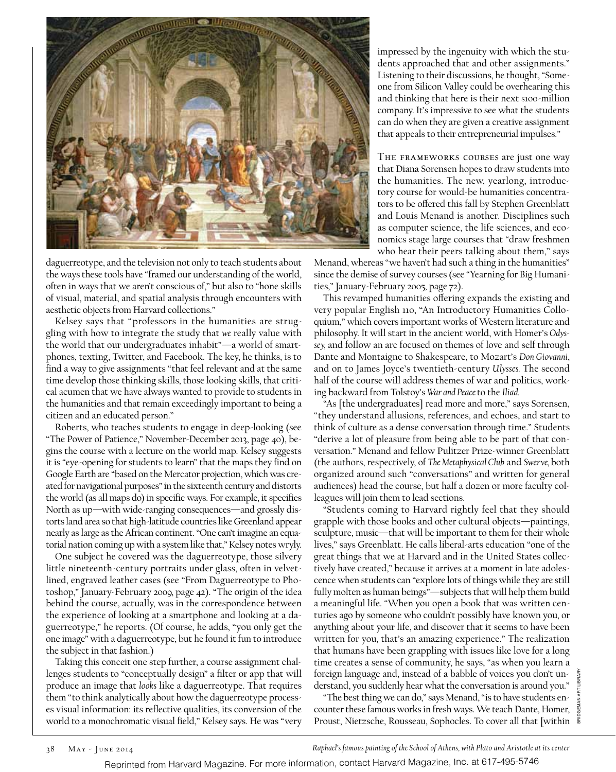

daguerreotype, and the television not only to teach students about the ways these tools have "framed our understanding of the world, often in ways that we aren't conscious of," but also to "hone skills of visual, material, and spatial analysis through encounters with aesthetic objects from Harvard collections."

Kelsey says that "professors in the humanities are struggling with how to integrate the study that *we* really value with the world that our undergraduates inhabit"—a world of smartphones, texting, Twitter, and Facebook. The key, he thinks, is to find a way to give assignments "that feel relevant and at the same time develop those thinking skills, those looking skills, that critical acumen that we have always wanted to provide to students in the humanities and that remain exceedingly important to being a citizen and an educated person."

Roberts, who teaches students to engage in deep-looking (see "The Power of Patience," November-December 2013, page 40), begins the course with a lecture on the world map. Kelsey suggests it is "eye-opening for students to learn" that the maps they find on Google Earth are "based on the Mercator projection, which was created for navigational purposes" in the sixteenth century and distorts the world (as all maps do) in specific ways. For example, it specifies North as up—with wide-ranging consequences—and grossly distorts land area so that high-latitude countries like Greenland appear nearly as large as the African continent. "One can't imagine an equatorial nation coming up with a system like that," Kelsey notes wryly.

One subject he covered was the daguerreotype, those silvery little nineteenth-century portraits under glass, often in velvetlined, engraved leather cases (see "From Daguerreotype to Photoshop," January-February 2009, page 42). "The origin of the idea behind the course, actually, was in the correspondence between the experience of looking at a smartphone and looking at a daguerreotype," he reports. (Of course, he adds, "you only get the one image" with a daguerreotype, but he found it fun to introduce the subject in that fashion.)

Taking this conceit one step further, a course assignment challenges students to "conceptually design" a filter or app that will produce an image that *looks* like a daguerreotype. That requires them "to think analytically about how the daguerreotype processes visual information: its reflective qualities, its conversion of the world to a monochromatic visual field," Kelsey says. He was "very impressed by the ingenuity with which the students approached that and other assignments." Listening to their discussions, he thought, "Someone from Silicon Valley could be overhearing this and thinking that here is their next \$100-million company. It's impressive to see what the students can do when they are given a creative assignment that appeals to their entrepreneurial impulses."

The frameworks courses are just one way that Diana Sorensen hopes to draw students into the humanities. The new, yearlong, introductory course for would-be humanities concentrators to be offered this fall by Stephen Greenblatt and Louis Menand is another. Disciplines such as computer science, the life sciences, and economics stage large courses that "draw freshmen who hear their peers talking about them," says

Menand, whereas "we haven't had such a thing in the humanities" since the demise of survey courses (see "Yearning for Big Humanities," January-February 2005, page 72).

This revamped humanities offering expands the existing and very popular English 110, "An Introductory Humanities Colloquium," which covers important works of Western literature and philosophy. It will start in the ancient world, with Homer's *Odyssey,* and follow an arc focused on themes of love and self through Dante and Montaigne to Shakespeare, to Mozart's *Don Giovanni*, and on to James Joyce's twentieth-century *Ulysses.* The second half of the course will address themes of war and politics, working backward from Tolstoy's *War and Peace* to the *Iliad.*

"As [the undergraduates] read more and more," says Sorensen, "they understand allusions, references, and echoes, and start to think of culture as a dense conversation through time." Students "derive a lot of pleasure from being able to be part of that conversation." Menand and fellow Pulitzer Prize-winner Greenblatt (the authors, respectively, of *The Metaphysical Club* and *Swerve,* both organized around such "conversations" and written for general audiences) head the course, but half a dozen or more faculty colleagues will join them to lead sections.

"Students coming to Harvard rightly feel that they should grapple with those books and other cultural objects—paintings, sculpture, music—that will be important to them for their whole lives," says Greenblatt. He calls liberal-arts education "one of the great things that we at Harvard and in the United States collectively have created," because it arrives at a moment in late adolescence when students can "explore lots of things while they are still fully molten as human beings"—subjects that will help them build a meaningful life. "When you open a book that was written centuries ago by someone who couldn't possibly have known you, or anything about your life, and discover that it seems to have been written for you, that's an amazing experience." The realization that humans have been grappling with issues like love for a long time creates a sense of community, he says, "as when you learn a foreign language and, instead of a babble of voices you don't understand, you suddenly hear what the conversation is around you."

"The best thing we can do," says Menand, "is to have students encounter these famous works in fresh ways. We teach Dante, Homer, Proust, Nietzsche, Rousseau, Sophocles. To cover all that [within  $\bar{a}$ 

*Raphael's famous painting of the School of Athens, with Plato and Aristotle at its center*